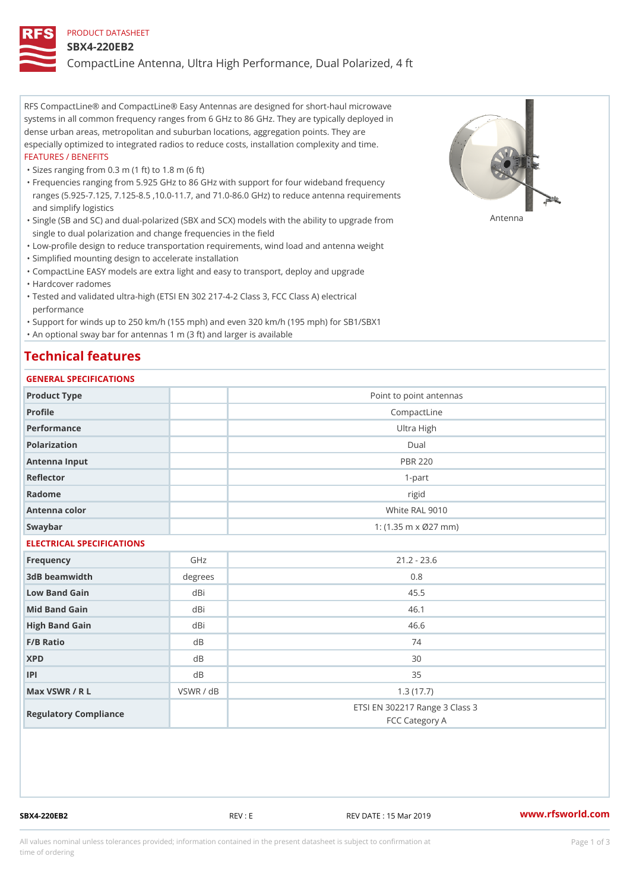#### PRODUCT DATASHEET

#### SBX4-220EB2

CompactLine Antenna, Ultra High Performance, Dual Polarized, 4 ft

RFS CompactLine® and CompactLine® Easy Antennas are designed for short-haul microwave systems in all common frequency ranges from 6 GHz to 86 GHz. They are typically deployed in dense urban areas, metropolitan and suburban locations, aggregation points. They are especially optimized to integrated radios to reduce costs, installation complexity and time. FEATURES / BENEFITS

"Sizes ranging from 0.3 m (1 ft) to 1.8 m (6 ft)

Frequencies ranging from 5.925 GHz to 86 GHz with support for four wideband frequency " ranges (5.925-7.125, 7.125-8.5 ,10.0-11.7, and 71.0-86.0 GHz) to reduce antenna requirements and simplify logistics

"Single (SB and SC) and dual-polarized (SBX and SCX) models with the abili $\mathsf{f}_\mathsf{V}^{\eta}$ ttenup $\beta$ grade from single to dual polarization and change frequencies in the field

"Low-profile design to reduce transportation requirements, wind load and antenna weight

"Simplified mounting design to accelerate installation

 "CompactLine EASY models are extra light and easy to transport, deploy and upgrade "Hardcover radomes

Tested and validated ultra-high (ETSI EN 302 217-4-2 Class 3, FCC Class A) electrical " performance

 "Support for winds up to 250 km/h (155 mph) and even 320 km/h (195 mph) for SB1/SBX1 "An optional sway bar for antennas 1 m (3 ft) and larger is available

### Technical features

### GENERAL SPECIFICATIONS

| GENERAL SELGIFICATIONS    |           |                                                  |  |  |
|---------------------------|-----------|--------------------------------------------------|--|--|
| Product Type              |           | Point to point antennas                          |  |  |
| Profile                   |           | CompactLine                                      |  |  |
| Performance               |           | Ultra High                                       |  |  |
| Polarization              |           | $D$ ual                                          |  |  |
| Antenna Input             |           | <b>PBR 220</b>                                   |  |  |
| Reflector                 |           | $1-part$                                         |  |  |
| Radome                    |           | rigid                                            |  |  |
| Antenna color             |           | White RAL 9010                                   |  |  |
| Swaybar                   |           | 1: $(1.35 \, m \times 027 \, mm)$                |  |  |
| ELECTRICAL SPECIFICATIONS |           |                                                  |  |  |
| Frequency                 | GHz       | $21.2 - 23.6$                                    |  |  |
| 3dB beamwidth             | degrees   | 0.8                                              |  |  |
| Low Band Gain             | dBi       | 45.5                                             |  |  |
| Mid Band Gain             | dBi       | 46.1                                             |  |  |
| High Band Gain            | dBi       | 46.6                                             |  |  |
| F/B Ratio                 | d B       | 74                                               |  |  |
| <b>XPD</b>                | d B       | 30                                               |  |  |
| P                         | d B       | 35                                               |  |  |
| Max VSWR / R L            | VSWR / dB | 1.3(17.7)                                        |  |  |
| Regulatory Compliance     |           | ETSI EN 302217 Range 3 Class 3<br>FCC Category A |  |  |

SBX4-220EB2 REV : E REV DATE : 15 Mar 2019 [www.](https://www.rfsworld.com)rfsworld.com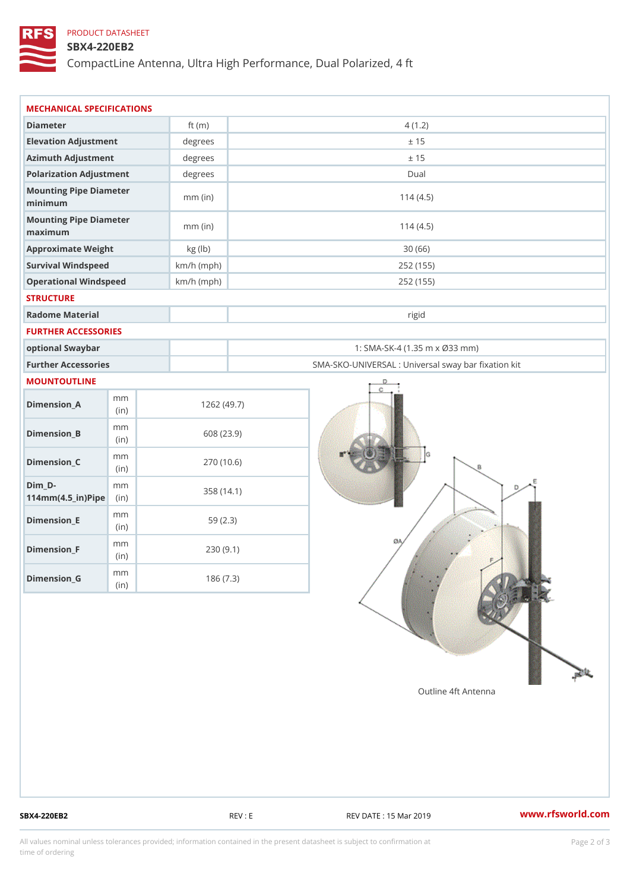## PRODUCT DATASHEET

### SBX4-220EB2

CompactLine Antenna, Ultra High Performance, Dual Polarized, 4 ft

| MECHANICAL SPECIFICATIONS                                  |              |                                                   |
|------------------------------------------------------------|--------------|---------------------------------------------------|
| Diameter                                                   | ft $(m)$     | 4(1.2)                                            |
| Elevation Adjustment                                       | degrees      | ± 15                                              |
| Azimuth Adjustment                                         | degrees      | ± 15                                              |
| Polarization Adjustment                                    | $degree$ :   | Dual                                              |
| Mounting Pipe Diameter<br>minimum                          | $mm$ (in)    | 114(4.5)                                          |
| Mounting Pipe Diameter<br>maximum                          | $mm$ (in)    | 114(4.5)                                          |
| Approximate Weight                                         | kg (lb)      | 30(66)                                            |
| Survival Windspeed                                         | $km/h$ (mph) | 252 (155)                                         |
| Operational Windspeed                                      | $km/h$ (mph) | 252 (155)                                         |
| <b>STRUCTURE</b>                                           |              |                                                   |
| Radome Material                                            |              | rigid                                             |
| FURTHER ACCESSORIES                                        |              |                                                   |
| optional Swaybar                                           |              | 1: SMA-SK-4 (1.35 m x Ø33 mm)                     |
| Further Accessories                                        |              | SMA-SKO-UNIVERSAL : Universal sway bar fixation l |
| MOUNTOUTLINE                                               |              |                                                   |
| m m<br>$Dimension_A$<br>(in)                               |              | 1262(49.7)                                        |
| m m<br>$Dimension_B$<br>(in)                               |              | 608 (23.9)                                        |
| m m<br>$Dimension_C$<br>(i n)                              |              | 270 (10.6)                                        |
| $Dim_D -$<br>m m<br>$114$ m m $(4.5$ _ ir $)$ $R$ ii p $e$ |              | 358 (14.1)                                        |
| m m<br>$Dimension$ = E<br>(i n)                            |              | 59(2.3)                                           |
| m m<br>$Dimension_F$<br>(in)                               |              | 230(9.1)                                          |
| m m<br>$D$ imension $_G$                                   |              | 186(7.3)                                          |

SBX4-220EB2 REV : E REV : REV DATE : 15 Mar 2019 WWW.rfsworld.com

All values nominal unless tolerances provided; information contained in the present datasheet is subject to Pcapgelio an atio time of ordering